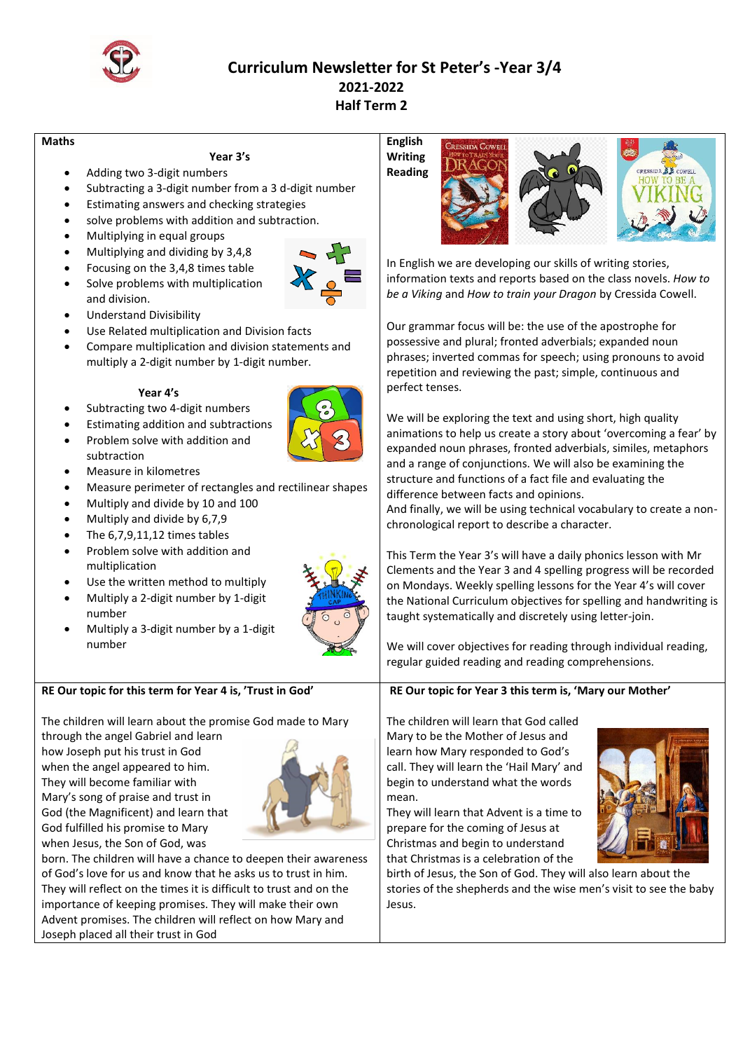

# **Curriculum Newsletter for St Peter's -Year 3/4 2021-2022 Half Term 2**

### **Maths**

# **Year 3's**

- Adding two 3-digit numbers
- Subtracting a 3-digit number from a 3 d-digit number
- Estimating answers and checking strategies
- solve problems with addition and subtraction.
- Multiplying in equal groups
- Multiplying and dividing by 3,4,8
	- Focusing on the 3,4,8 times table
- Solve problems with multiplication and division.



- Understand Divisibility
- Use Related multiplication and Division facts
- Compare multiplication and division statements and multiply a 2-digit number by 1-digit number.

# **Year 4's**

- Subtracting two 4-digit numbers
- Estimating addition and subtractions
- Problem solve with addition and subtraction
- Measure in kilometres
- Measure perimeter of rectangles and rectilinear shapes
- Multiply and divide by 10 and 100
- Multiply and divide by 6,7,9
- The 6,7,9,11,12 times tables
- Problem solve with addition and multiplication
- Use the written method to multiply
- Multiply a 2-digit number by 1-digit number
- Multiply a 3-digit number by a 1-digit number

# **RE Our topic for this term for Year 4 is, 'Trust in God'**

The children will learn about the promise God made to Mary

through the angel Gabriel and learn how Joseph put his trust in God when the angel appeared to him. They will become familiar with Mary's song of praise and trust in God (the Magnificent) and learn that God fulfilled his promise to Mary when Jesus, the Son of God, was



born. The children will have a chance to deepen their awareness of God's love for us and know that he asks us to trust in him. They will reflect on the times it is difficult to trust and on the importance of keeping promises. They will make their own Advent promises. The children will reflect on how Mary and Joseph placed all their trust in God

# **English Writing**  CRESSIDA XX COMPUT **Reading**

In English we are developing our skills of writing stories, information texts and reports based on the class novels. *How to be a Viking* and *How to train your Dragon* by Cressida Cowell.

Our grammar focus will be: the use of the apostrophe for possessive and plural; fronted adverbials; expanded noun phrases; inverted commas for speech; using pronouns to avoid repetition and reviewing the past; simple, continuous and perfect tenses.

We will be exploring the text and using short, high quality animations to help us create a story about 'overcoming a fear' by expanded noun phrases, fronted adverbials, similes, metaphors and a range of conjunctions. We will also be examining the structure and functions of a fact file and evaluating the difference between facts and opinions.

And finally, we will be using technical vocabulary to create a nonchronological report to describe a character.

This Term the Year 3's will have a daily phonics lesson with Mr Clements and the Year 3 and 4 spelling progress will be recorded on Mondays. Weekly spelling lessons for the Year 4's will cover the National Curriculum objectives for spelling and handwriting is taught systematically and discretely using letter-join.

We will cover objectives for reading through individual reading, regular guided reading and reading comprehensions.

**RE Our topic for Year 3 this term is, 'Mary our Mother'**

The children will learn that God called Mary to be the Mother of Jesus and learn how Mary responded to God's call. They will learn the 'Hail Mary' and begin to understand what the words mean.

They will learn that Advent is a time to prepare for the coming of Jesus at Christmas and begin to understand that Christmas is a celebration of the



birth of Jesus, the Son of God. They will also learn about the stories of the shepherds and the wise men's visit to see the baby Jesus.